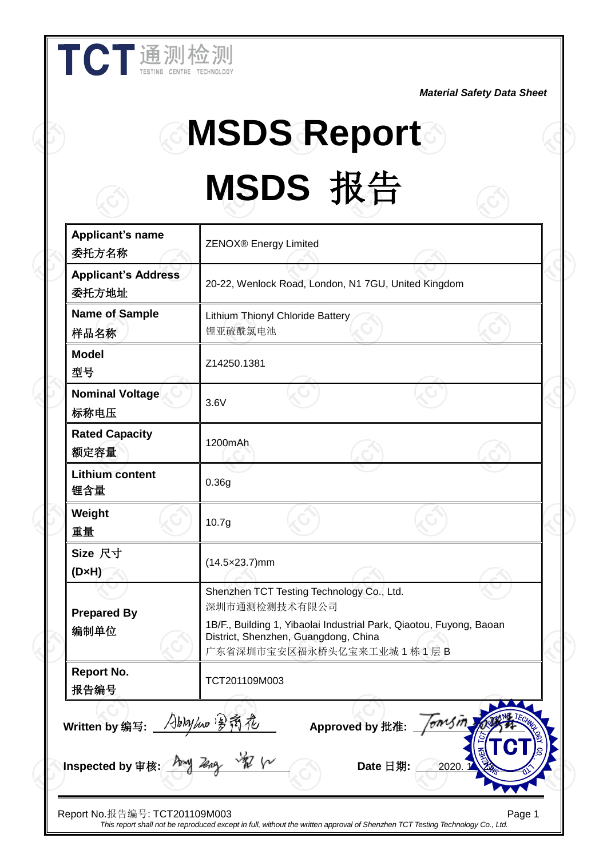*Material Safety Data Sheet*

## **MSDS Report MSDS** 报告

**Applicant's name** 委托方名称 ZENOX® Energy Limited **Applicant's Address** 委托方地址 20-22, Wenlock Road, London, N1 7GU, United Kingdom **Name of Sample** 样品名称 Lithium Thionyl Chloride Battery 锂亚硫酰氯电池 **Model** 型号 Z14250.1381 **Nominal Voltage** 标称电压 3.6V **Rated Capacity** 额定容量 1200mAh **Lithium content** 锂含量 0.36g **Weight** 重量 10.7g **Size** 尺寸 **(D×H)** (14.5×23.7)mm **Prepared By** 编制单位 Shenzhen TCT Testing Technology Co., Ltd. 深圳市通测检测技术有限公司 1B/F., Building 1, Yibaolai Industrial Park, Qiaotou, Fuyong, Baoan District, Shenzhen, Guangdong, China 广东省深圳市宝安区福永桥头亿宝来工业城 1 栋 1 层 B **Report No.** 报告编号 TCT201109M003 Written by 编写: Abhyhw Van The Approved by 批准: Inspected by 审核: **Date** And **Let us and Wareau Allent** Date 日期:

Report No.报告编号: TCT201109M003 Page 1 *This report shall not be reproduced except in full, without the written approval of Shenzhen TCT Testing Technology Co., Ltd.*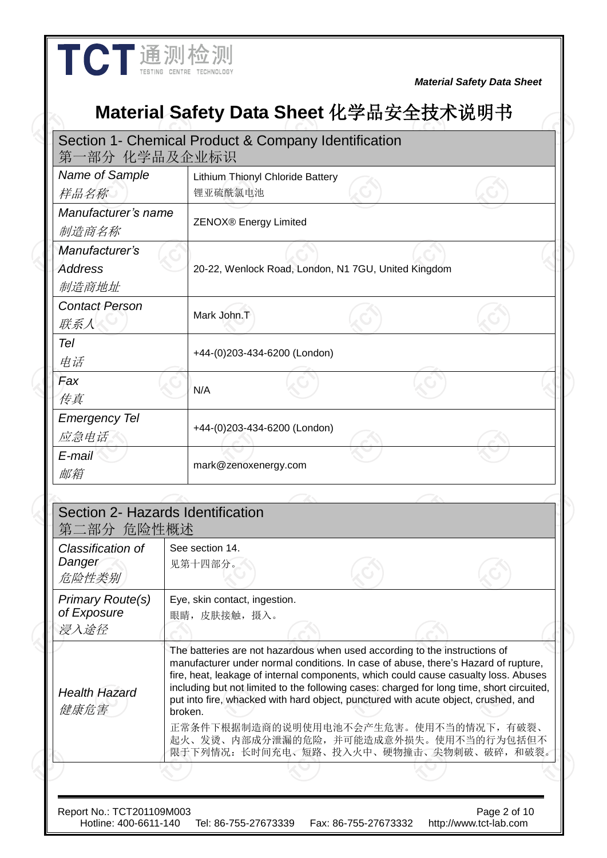## **Material Safety Data Sheet** 化学品安全技术说明书

| Name of Sample                                  |         | Lithium Thionyl Chloride Battery                                                                                                                                                                                                                                                                                                                                                                                                                                                                                                                                         |  |  |  |
|-------------------------------------------------|---------|--------------------------------------------------------------------------------------------------------------------------------------------------------------------------------------------------------------------------------------------------------------------------------------------------------------------------------------------------------------------------------------------------------------------------------------------------------------------------------------------------------------------------------------------------------------------------|--|--|--|
| 样品名称                                            |         | 锂亚硫酰氯电池                                                                                                                                                                                                                                                                                                                                                                                                                                                                                                                                                                  |  |  |  |
| Manufacturer's name<br>制造商名称                    |         | <b>ZENOX®</b> Energy Limited                                                                                                                                                                                                                                                                                                                                                                                                                                                                                                                                             |  |  |  |
| Manufacturer's<br><b>Address</b><br>制造商地址       |         | 20-22, Wenlock Road, London, N1 7GU, United Kingdom                                                                                                                                                                                                                                                                                                                                                                                                                                                                                                                      |  |  |  |
| <b>Contact Person</b><br>联系人                    |         | Mark John.T                                                                                                                                                                                                                                                                                                                                                                                                                                                                                                                                                              |  |  |  |
| Tel<br>电话                                       |         | +44-(0)203-434-6200 (London)                                                                                                                                                                                                                                                                                                                                                                                                                                                                                                                                             |  |  |  |
| Fax<br>传真                                       |         | N/A                                                                                                                                                                                                                                                                                                                                                                                                                                                                                                                                                                      |  |  |  |
| <b>Emergency Tel</b><br>应急电话                    |         | +44-(0)203-434-6200 (London)                                                                                                                                                                                                                                                                                                                                                                                                                                                                                                                                             |  |  |  |
| E-mail<br>邮箱                                    |         | mark@zenoxenergy.com                                                                                                                                                                                                                                                                                                                                                                                                                                                                                                                                                     |  |  |  |
|                                                 |         |                                                                                                                                                                                                                                                                                                                                                                                                                                                                                                                                                                          |  |  |  |
| Section 2- Hazards Identification<br>第二部分 危险性概述 |         |                                                                                                                                                                                                                                                                                                                                                                                                                                                                                                                                                                          |  |  |  |
| Classification of<br>Danger<br>危险性类别            |         | See section 14.<br>见第十四部分。                                                                                                                                                                                                                                                                                                                                                                                                                                                                                                                                               |  |  |  |
| Primary Route(s)<br>of Exposure<br>浸入途径         |         | Eye, skin contact, ingestion.<br>眼睛, 皮肤接触, 摄入。                                                                                                                                                                                                                                                                                                                                                                                                                                                                                                                           |  |  |  |
| <b>Health Hazard</b><br>健康危害                    | broken. | The batteries are not hazardous when used according to the instructions of<br>manufacturer under normal conditions. In case of abuse, there's Hazard of rupture,<br>fire, heat, leakage of internal components, which could cause casualty loss. Abuses<br>including but not limited to the following cases: charged for long time, short circuited,<br>put into fire, whacked with hard object, punctured with acute object, crushed, and<br>正常条件下根据制造商的说明使用电池不会产生危害。使用不当的情况下,有破裂、<br>起火、发烫、内部成分泄漏的危险,并可能造成意外损失。使用不当的行为包括但不<br>限于下列情况: 长时间充电、短路、投入火中、硬物撞击、尖物刺破、破碎, 和破裂。 |  |  |  |
|                                                 |         |                                                                                                                                                                                                                                                                                                                                                                                                                                                                                                                                                                          |  |  |  |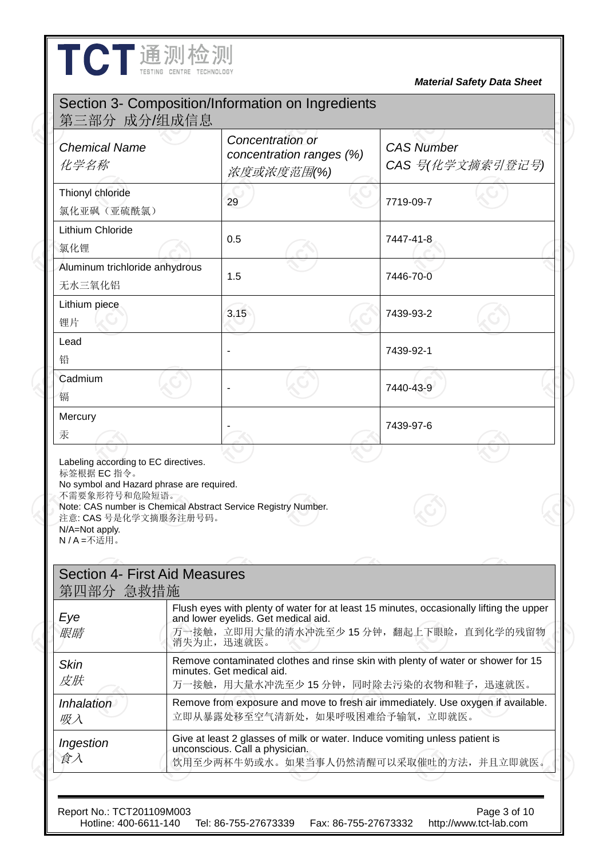|                                                                                                                                      |                                                                                                                                                                                             |  | <b>Material Safety Data Sheet</b>                                                                                    |  |  |
|--------------------------------------------------------------------------------------------------------------------------------------|---------------------------------------------------------------------------------------------------------------------------------------------------------------------------------------------|--|----------------------------------------------------------------------------------------------------------------------|--|--|
|                                                                                                                                      | Section 3- Composition/Information on Ingredients                                                                                                                                           |  |                                                                                                                      |  |  |
| 第三部分 成分/组成信息<br><b>Chemical Name</b><br>化学名称                                                                                         | Concentration or<br>concentration ranges (%)<br>浓度或浓度范围(%)                                                                                                                                  |  | <b>CAS Number</b><br>CAS 号(化学文摘索引登记号)                                                                                |  |  |
| Thionyl chloride<br>氯化亚砜 (亚硫酰氯)                                                                                                      | 29                                                                                                                                                                                          |  | 7719-09-7                                                                                                            |  |  |
| Lithium Chloride<br>氯化锂                                                                                                              | 0.5                                                                                                                                                                                         |  | 7447-41-8                                                                                                            |  |  |
| Aluminum trichloride anhydrous<br>无水三氧化铝                                                                                             | 1.5                                                                                                                                                                                         |  | 7446-70-0                                                                                                            |  |  |
| Lithium piece<br>锂片                                                                                                                  | 3.15                                                                                                                                                                                        |  | 7439-93-2                                                                                                            |  |  |
| Lead<br>铅                                                                                                                            |                                                                                                                                                                                             |  | 7439-92-1                                                                                                            |  |  |
| Cadmium<br>镉                                                                                                                         |                                                                                                                                                                                             |  | 7440-43-9                                                                                                            |  |  |
| Mercury<br>汞                                                                                                                         |                                                                                                                                                                                             |  | 7439-97-6                                                                                                            |  |  |
| 标签根据 EC 指令。<br>No symbol and Hazard phrase are required.<br>不需要象形符号和危险短语。<br>注意: CAS 号是化学文摘服务注册号码。<br>N/A=Not apply.<br>N / A = 不适用。 | Note: CAS number is Chemical Abstract Service Registry Number.                                                                                                                              |  |                                                                                                                      |  |  |
| <b>Section 4- First Aid Measures</b><br>第四部分 急救措施                                                                                    |                                                                                                                                                                                             |  |                                                                                                                      |  |  |
| Eye<br>服晴                                                                                                                            | Flush eyes with plenty of water for at least 15 minutes, occasionally lifting the upper<br>and lower eyelids. Get medical aid.<br>万一接触, 立即用大量的清水冲洗至少 15 分钟, 翻起上下眼睑, 直到化学的残留物<br>消失为止, 迅速就医。 |  |                                                                                                                      |  |  |
| <b>Skin</b><br>皮肤                                                                                                                    | Remove contaminated clothes and rinse skin with plenty of water or shower for 15<br>minutes. Get medical aid.<br>万一接触,用大量水冲洗至少15分钟,同时除去污染的衣物和鞋子,迅速就医。                                       |  |                                                                                                                      |  |  |
| <i>Inhalation</i><br>吸入                                                                                                              |                                                                                                                                                                                             |  | Remove from exposure and move to fresh air immediately. Use oxygen if available.<br>立即从暴露处移至空气清新处, 如果呼吸困难给予输氧, 立即就医。 |  |  |
| Ingestion                                                                                                                            | Give at least 2 glasses of milk or water. Induce vomiting unless patient is<br>unconscious. Call a physician.<br>饮用至少两杯牛奶或水。如果当事人仍然清醒可以采取催吐的方法,并且立即就医。                                      |  |                                                                                                                      |  |  |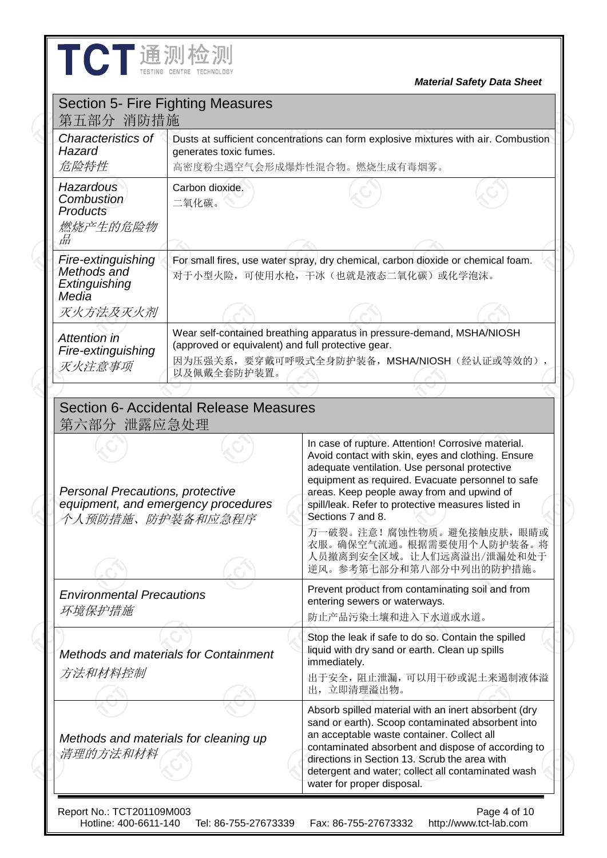| TCT通测检测                                                                                        |                                                                   |                                                                                                                                                                                                                                                                                                                                                                                                                                                          |                                   |  |  |
|------------------------------------------------------------------------------------------------|-------------------------------------------------------------------|----------------------------------------------------------------------------------------------------------------------------------------------------------------------------------------------------------------------------------------------------------------------------------------------------------------------------------------------------------------------------------------------------------------------------------------------------------|-----------------------------------|--|--|
|                                                                                                |                                                                   |                                                                                                                                                                                                                                                                                                                                                                                                                                                          | <b>Material Safety Data Sheet</b> |  |  |
| <b>Section 5- Fire Fighting Measures</b><br>第五部分 消防措施                                          |                                                                   |                                                                                                                                                                                                                                                                                                                                                                                                                                                          |                                   |  |  |
| Characteristics of<br>Hazard<br>危险特性                                                           | generates toxic fumes.                                            | Dusts at sufficient concentrations can form explosive mixtures with air. Combustion<br>高密度粉尘遇空气会形成爆炸性混合物。燃烧生成有毒烟雾。                                                                                                                                                                                                                                                                                                                                       |                                   |  |  |
| Hazardous<br>Combustion<br>Products<br>燃烧产生的危险物<br>品                                           | Carbon dioxide.<br>二氧化碳。                                          |                                                                                                                                                                                                                                                                                                                                                                                                                                                          |                                   |  |  |
| Fire-extinguishing<br>Methods and<br>Extinguishing<br>Media                                    |                                                                   | For small fires, use water spray, dry chemical, carbon dioxide or chemical foam.<br>对于小型火险,可使用水枪,干冰(也就是液态二氧化碳)或化学泡沫。                                                                                                                                                                                                                                                                                                                                     |                                   |  |  |
| 灭火方法及灭火剂                                                                                       |                                                                   |                                                                                                                                                                                                                                                                                                                                                                                                                                                          |                                   |  |  |
| Attention in<br>Fire-extinguishing<br>灭火注意事项                                                   | (approved or equivalent) and full protective gear.<br>以及佩戴全套防护装置。 | Wear self-contained breathing apparatus in pressure-demand, MSHA/NIOSH<br>因为压强关系, 要穿戴可呼吸式全身防护装备, MSHA/NIOSH (经认证或等效的),                                                                                                                                                                                                                                                                                                                                   |                                   |  |  |
|                                                                                                |                                                                   |                                                                                                                                                                                                                                                                                                                                                                                                                                                          |                                   |  |  |
| 第六部分 泄露应急处理                                                                                    | Section 6- Accidental Release Measures                            |                                                                                                                                                                                                                                                                                                                                                                                                                                                          |                                   |  |  |
| Personal Precautions, protective<br>equipment, and emergency procedures<br>个人预防措施、防护装备和应急程序    |                                                                   | In case of rupture. Attention! Corrosive material.<br>Avoid contact with skin, eyes and clothing. Ensure<br>adequate ventilation. Use personal protective<br>equipment as required. Evacuate personnel to safe<br>areas. Keep people away from and upwind of<br>spill/leak. Refer to protective measures listed in<br>Sections 7 and 8.<br>万一破裂。注意! 腐蚀性物质。避免接触皮肤, 眼睛或<br>衣服。确保空气流通。根据需要使用个人防护装备。将<br>人员撤离到安全区域。让人们远离溢出/泄漏处和处于<br>逆风。参考第七部分和第八部分中列出的防护措施。 |                                   |  |  |
| <b>Environmental Precautions</b><br>环境保护措施<br>Methods and materials for Containment<br>方法和材料控制 |                                                                   | Prevent product from contaminating soil and from<br>entering sewers or waterways.<br>防止产品污染土壤和进入下水道或水道。                                                                                                                                                                                                                                                                                                                                                  |                                   |  |  |
|                                                                                                |                                                                   | Stop the leak if safe to do so. Contain the spilled<br>liquid with dry sand or earth. Clean up spills<br>immediately.<br>出于安全, 阻止泄漏, 可以用干砂或泥土来遏制液体溢<br>出,立即清理溢出物。                                                                                                                                                                                                                                                                                        |                                   |  |  |
|                                                                                                |                                                                   |                                                                                                                                                                                                                                                                                                                                                                                                                                                          |                                   |  |  |

Report No.: TCT201109M003 Page 4 of 10 Hotline: 400-6611-140 Tel: 86-755-27673339 Fax: 86-755-27673332 http://www.tct-lab.com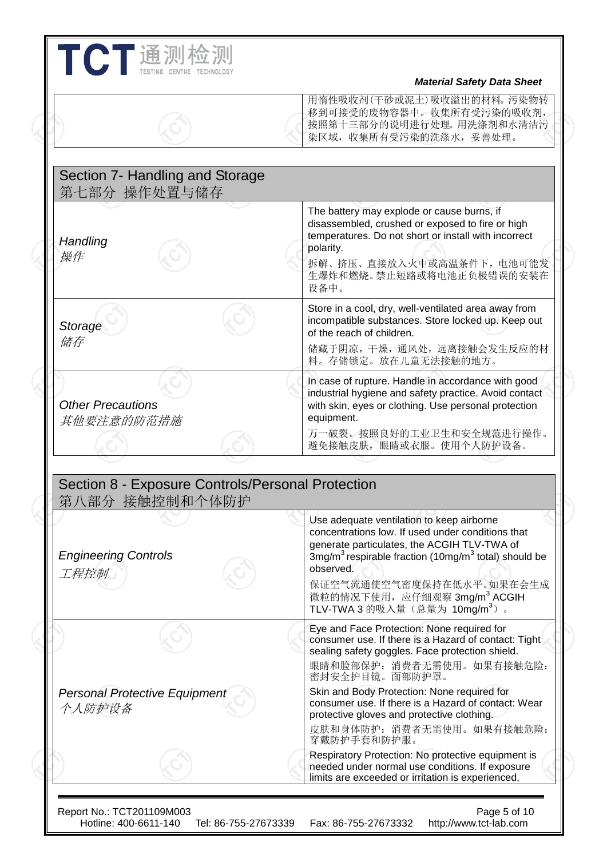## **THE 测检测**<br>The Tresting Centre Technology<br>Material Safety Data Sheet 用惰性吸收剂(干砂或泥土)吸收溢出的材料。污染物转 移到可接受的废物容器中。收集所有受污染的吸收剂, 按照第十三部分的说明进行处理。用洗涤剂和水清洁污 染区域,收集所有受污染的洗涤水,妥善处理。 Section 7- Handling and Storage 第七部分 操作处置与储存 *Handling* 操作 The battery may explode or cause burns, if disassembled, crushed or exposed to fire or high temperatures. Do not short or install with incorrect polarity. 拆解、挤压、直接放入火中或高温条件下,电池可能发 生爆炸和燃烧。禁止短路或将电池正负极错误的安装在 设备中。 *Storage* 储存 Store in a cool, dry, well-ventilated area away from incompatible substances. Store locked up. Keep out of the reach of children. 储藏于阴凉,干燥,通风处,远离接触会发生反应的材 料。存储锁定。放在儿童无法接触的地方。 *Other Precautions* 其他要注意的防范措施 In case of rupture. Handle in accordance with good industrial hygiene and safety practice. Avoid contact with skin, eyes or clothing. Use personal protection equipment. 万一破裂。按照良好的工业卫生和安全规范进行操作。 避免接触皮肤,眼睛或衣服。使用个人防护设备。 Section 8 - Exposure Controls/Personal Protection 第八部分 接触控制和个体防护

| $\frac{1}{2}$                                  |                                                                                                                                                                                                                                                                                                                                                        |
|------------------------------------------------|--------------------------------------------------------------------------------------------------------------------------------------------------------------------------------------------------------------------------------------------------------------------------------------------------------------------------------------------------------|
| <b>Engineering Controls</b><br>工程控制            | Use adequate ventilation to keep airborne<br>concentrations low. If used under conditions that<br>generate particulates, the ACGIH TLV-TWA of<br>$3mg/m3$ respirable fraction (10mg/m <sup>3</sup> total) should be<br>observed.<br>保证空气流通使空气密度保持在低水平。如果在会生成<br>微粒的情况下使用, 应仔细观察 3mg/m <sup>3</sup> ACGIH<br>TLV-TWA 3 的吸入量 (总量为 10mg/m <sup>3</sup> )。 |
|                                                | Eye and Face Protection: None required for<br>consumer use. If there is a Hazard of contact: Tight<br>sealing safety goggles. Face protection shield.<br>眼睛和脸部保护: 消费者无需使用。如果有接触危险:<br>密封安全护目镜。面部防护罩。                                                                                                                                                   |
| <b>Personal Protective Equipment</b><br>个人防护设备 | Skin and Body Protection: None required for<br>consumer use. If there is a Hazard of contact: Wear<br>protective gloves and protective clothing.<br>皮肤和身体防护: 消费者无需使用。如果有接触危险:                                                                                                                                                                          |
|                                                | 穿戴防护手套和防护服。<br>Respiratory Protection: No protective equipment is<br>needed under normal use conditions. If exposure<br>limits are exceeded or irritation is experienced,                                                                                                                                                                              |

Hotline: 400-6611-140 Tel: 86-755-27673339 Fax: 86-755-27673332 http://www.tct-lab.com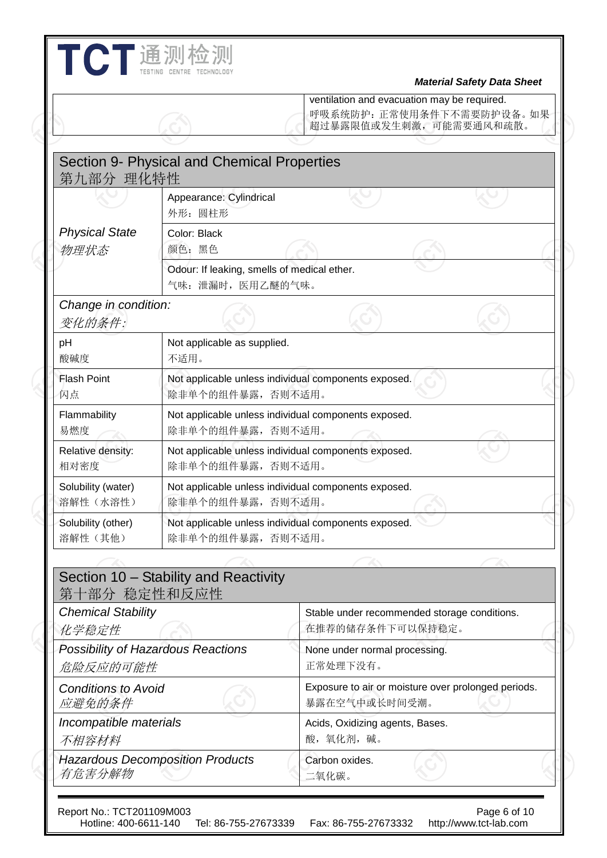|                                                |                                                                  | <b>Material Safety Data Sheet</b><br>ventilation and evacuation may be required.<br>呼吸系统防护: 正常使用条件下不需要防护设备。如果<br>超过暴露限值或发生刺激, 可能需要通风和疏散。 |  |  |
|------------------------------------------------|------------------------------------------------------------------|------------------------------------------------------------------------------------------------------------------------------------------|--|--|
| 第九部分 理化特性                                      | Section 9- Physical and Chemical Properties                      |                                                                                                                                          |  |  |
|                                                | Appearance: Cylindrical<br>外形: 圆柱形                               |                                                                                                                                          |  |  |
| <b>Physical State</b><br>物理状态                  | Color: Black<br>颜色:黑色                                            |                                                                                                                                          |  |  |
|                                                | Odour: If leaking, smells of medical ether.<br>气味: 泄漏时, 医用乙醚的气味。 |                                                                                                                                          |  |  |
| Change in condition:<br>变化的条件:                 |                                                                  |                                                                                                                                          |  |  |
| pH<br>酸碱度                                      | Not applicable as supplied.<br>不适用。                              |                                                                                                                                          |  |  |
| <b>Flash Point</b><br>闪点                       | 除非单个的组件暴露,否则不适用。                                                 | Not applicable unless individual components exposed.                                                                                     |  |  |
| Flammability<br>易燃度                            | 除非单个的组件暴露,否则不适用。                                                 | Not applicable unless individual components exposed.                                                                                     |  |  |
| Relative density:<br>相对密度                      | 除非单个的组件暴露,否则不适用。                                                 | Not applicable unless individual components exposed.                                                                                     |  |  |
| Solubility (water)<br>溶解性 (水溶性)                | 除非单个的组件暴露,否则不适用。                                                 | Not applicable unless individual components exposed.                                                                                     |  |  |
| Solubility (other)<br>溶解性(其他)                  | 除非单个的组件暴露,否则不适用。                                                 | Not applicable unless individual components exposed.                                                                                     |  |  |
|                                                |                                                                  |                                                                                                                                          |  |  |
| 第十部分 稳定性和反应性                                   | Section 10 - Stability and Reactivity                            |                                                                                                                                          |  |  |
| <b>Chemical Stability</b><br>化学稳定性             |                                                                  | Stable under recommended storage conditions.<br>在推荐的储存条件下可以保持稳定。                                                                         |  |  |
| Possibility of Hazardous Reactions<br>危险反应的可能性 |                                                                  | None under normal processing.<br>正常处理下没有。                                                                                                |  |  |
| <b>Conditions to Avoid</b><br>应避免的条件           |                                                                  | Exposure to air or moisture over prolonged periods.<br>暴露在空气中或长时间受潮。                                                                     |  |  |
| Incompatible materials<br>不相容材料                |                                                                  | Acids, Oxidizing agents, Bases.<br>酸,氧化剂,碱。                                                                                              |  |  |
|                                                | <b>Hazardous Decomposition Products</b>                          | Carbon oxides.                                                                                                                           |  |  |

I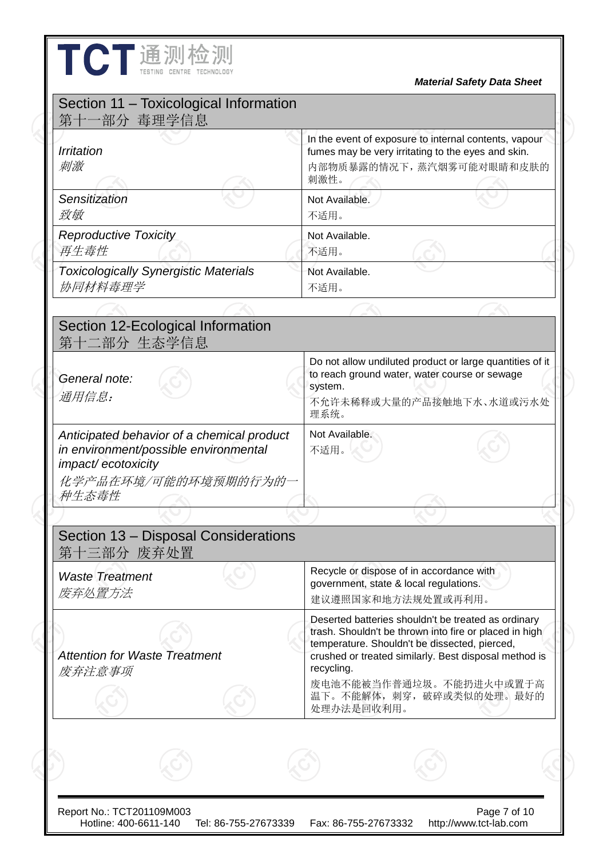| 第十一部分 毒理学信息<br><i><b>Irritation</b></i><br>刺激                                                                                              | In the event of exposure to internal contents, vapour<br>fumes may be very irritating to the eyes and skin.<br>内部物质暴露的情况下, 蒸汽烟雾可能对眼睛和皮肤的<br>刺激性。                                                                                                                                                            |
|--------------------------------------------------------------------------------------------------------------------------------------------|-------------------------------------------------------------------------------------------------------------------------------------------------------------------------------------------------------------------------------------------------------------------------------------------------------------|
| Sensitization<br>致敏                                                                                                                        | Not Available.<br>不适用。                                                                                                                                                                                                                                                                                      |
| <b>Reproductive Toxicity</b><br>再生毒性                                                                                                       | Not Available.<br>不适用。                                                                                                                                                                                                                                                                                      |
| <b>Toxicologically Synergistic Materials</b><br>协同材料毒理学                                                                                    | Not Available.<br>不适用。                                                                                                                                                                                                                                                                                      |
|                                                                                                                                            |                                                                                                                                                                                                                                                                                                             |
| Section 12-Ecological Information<br>第十二部分 生态学信息                                                                                           |                                                                                                                                                                                                                                                                                                             |
| General note:<br>通用信息:                                                                                                                     | Do not allow undiluted product or large quantities of it<br>to reach ground water, water course or sewage<br>system.<br>不允许未稀释或大量的产品接触地下水、水道或污水处<br>理系统。                                                                                                                                                    |
| Anticipated behavior of a chemical product<br>in environment/possible environmental<br>impact/ecotoxicity<br>化学产品在环境/可能的环境预期的行为的一<br>种生态毒性 | Not Available.<br>不适用。                                                                                                                                                                                                                                                                                      |
|                                                                                                                                            |                                                                                                                                                                                                                                                                                                             |
| Section 13 - Disposal Considerations<br>第十三部分 废弃处置                                                                                         |                                                                                                                                                                                                                                                                                                             |
| <b>Waste Treatment</b><br>废弃处置方法                                                                                                           | Recycle or dispose of in accordance with<br>government, state & local regulations.<br>建议遵照国家和地方法规处置或再利用。                                                                                                                                                                                                    |
| <b>Attention for Waste Treatment</b><br>废弃注意事项                                                                                             | Deserted batteries shouldn't be treated as ordinary<br>trash. Shouldn't be thrown into fire or placed in high<br>temperature. Shouldn't be dissected, pierced,<br>crushed or treated similarly. Best disposal method is<br>recycling.<br>废电池不能被当作普通垃圾。不能扔进火中或置于高<br>温下。不能解体, 刺穿, 破碎或类似的处理。最好的<br>处理办法是回收利用。 |

Hotline: 400-6611-140 Tel: 86-755-27673339 Fax: 86-755-27673332 http://www.tct-lab.com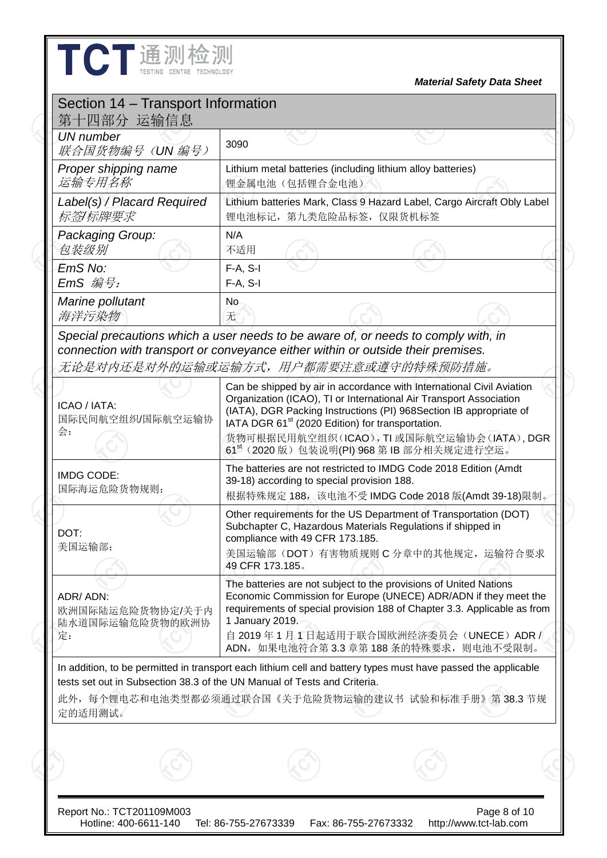| TCT通测检测                                                                                                                                                                                                                                                     |                        |                                                              |                                                                                                                                                                                                                   | <b>Material Safety Data Sheet</b>                                                                                                                                                                                               |
|-------------------------------------------------------------------------------------------------------------------------------------------------------------------------------------------------------------------------------------------------------------|------------------------|--------------------------------------------------------------|-------------------------------------------------------------------------------------------------------------------------------------------------------------------------------------------------------------------|---------------------------------------------------------------------------------------------------------------------------------------------------------------------------------------------------------------------------------|
| Section 14 - Transport Information<br>第十四部分 运输信息                                                                                                                                                                                                            |                        |                                                              |                                                                                                                                                                                                                   |                                                                                                                                                                                                                                 |
| <b>UN</b> number<br>联合国货物编号(UN编号)                                                                                                                                                                                                                           | 3090                   |                                                              |                                                                                                                                                                                                                   |                                                                                                                                                                                                                                 |
| Proper shipping name<br>运输专用名称                                                                                                                                                                                                                              |                        | 锂金属电池(包括锂合金电池)                                               | Lithium metal batteries (including lithium alloy batteries)                                                                                                                                                       |                                                                                                                                                                                                                                 |
| Label(s) / Placard Required<br>标签/标牌要求                                                                                                                                                                                                                      |                        | 锂电池标记, 第九类危险品标签, 仅限货机标签                                      |                                                                                                                                                                                                                   | Lithium batteries Mark, Class 9 Hazard Label, Cargo Aircraft Obly Label                                                                                                                                                         |
| Packaging Group:<br>包装级别                                                                                                                                                                                                                                    | N/A<br>不适用             |                                                              |                                                                                                                                                                                                                   |                                                                                                                                                                                                                                 |
| EmS No:<br>$EmS$ 编号:                                                                                                                                                                                                                                        | $F-A, S-I$<br>F-A, S-I |                                                              |                                                                                                                                                                                                                   |                                                                                                                                                                                                                                 |
| Marine pollutant<br>海洋污染物                                                                                                                                                                                                                                   | No.<br>无               |                                                              |                                                                                                                                                                                                                   |                                                                                                                                                                                                                                 |
| connection with transport or conveyance either within or outside their premises.<br>无论是对内还是对外的运输或运输方式,用户都需要注意或遵守的特殊预防措施。<br>ICAO / IATA:<br>国际民间航空组织/国际航空运输协<br>会:                                                                                          |                        | IATA DGR 61 <sup>st</sup> (2020 Edition) for transportation. | Can be shipped by air in accordance with International Civil Aviation<br>Organization (ICAO), TI or International Air Transport Association<br>(IATA), DGR Packing Instructions (PI) 968Section IB appropriate of |                                                                                                                                                                                                                                 |
|                                                                                                                                                                                                                                                             |                        |                                                              | 61 <sup>st</sup> (2020 版) 包装说明(PI) 968 第 IB 部分相关规定进行空运。                                                                                                                                                           | 货物可根据民用航空组织(ICAO), TI 或国际航空运输协会(IATA), DGR                                                                                                                                                                                      |
| <b>IMDG CODE:</b><br>国际海运危险货物规则:                                                                                                                                                                                                                            |                        | 39-18) according to special provision 188.                   | The batteries are not restricted to IMDG Code 2018 Edition (Amdt                                                                                                                                                  | 根据特殊规定 188, 该电池不受 IMDG Code 2018 版(Amdt 39-18)限制。                                                                                                                                                                               |
| DOT:<br>美国运输部:                                                                                                                                                                                                                                              | 49 CFR 173.185.        | compliance with 49 CFR 173.185.                              | Other requirements for the US Department of Transportation (DOT)<br>Subchapter C, Hazardous Materials Regulations if shipped in                                                                                   | 美国运输部(DOT)有害物质规则C分章中的其他规定,运输符合要求                                                                                                                                                                                                |
| ADR/ADN:<br>欧洲国际陆运危险货物协定/关于内<br>陆水道国际运输危险货物的欧洲协<br>定:                                                                                                                                                                                                       | 1 January 2019.        |                                                              | The batteries are not subject to the provisions of United Nations                                                                                                                                                 | Economic Commission for Europe (UNECE) ADR/ADN if they meet the<br>requirements of special provision 188 of Chapter 3.3. Applicable as from<br>自 2019年1月1日起适用于联合国欧洲经济委员会(UNECE) ADR /<br>ADN, 如果电池符合第3.3 章第188 条的特殊要求, 则电池不受限制。 |
| In addition, to be permitted in transport each lithium cell and battery types must have passed the applicable<br>tests set out in Subsection 38.3 of the UN Manual of Tests and Criteria.<br>此外,每个锂电芯和电池类型都必须通过联合国《关于危险货物运输的建议书 试验和标准手册》第38.3 节规<br>定的适用测试。 |                        |                                                              |                                                                                                                                                                                                                   |                                                                                                                                                                                                                                 |
|                                                                                                                                                                                                                                                             |                        |                                                              |                                                                                                                                                                                                                   |                                                                                                                                                                                                                                 |
|                                                                                                                                                                                                                                                             |                        |                                                              |                                                                                                                                                                                                                   |                                                                                                                                                                                                                                 |

 $\mathbf l$ 

Hotline: 400-6611-140 Tel: 86-755-27673339 Fax: 86-755-27673332 http://www.tct-lab.com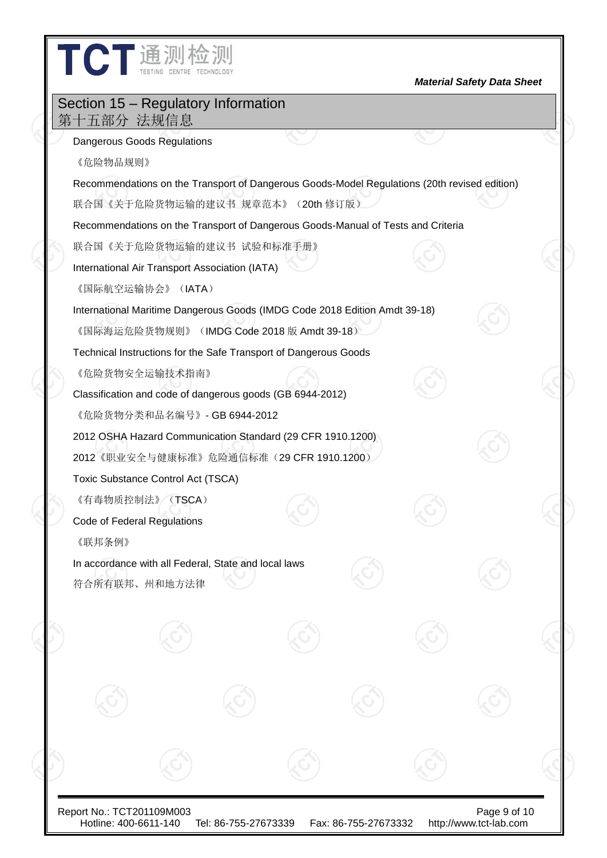